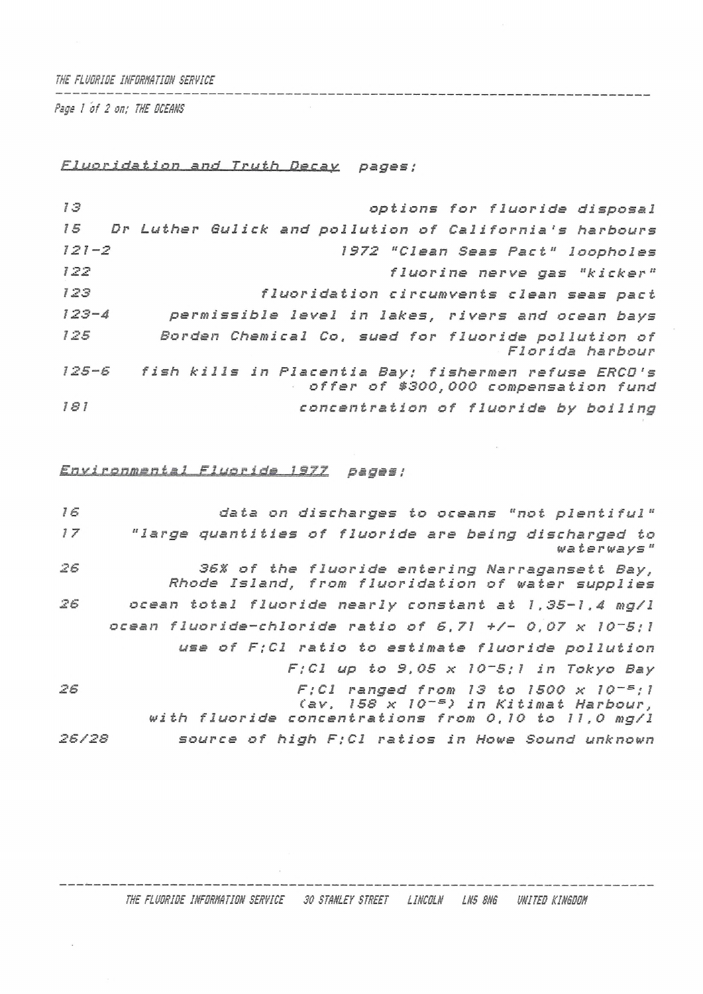THE FLUDRIDE INFORMATION SERVICE

*Page / of 2 on; THE CCEM/S*

*b\_Lm3.r\_2.dat ion and Truth Decay pages;*

 *Dr Luther Gulick and pollution of California'<sup>s</sup> harbours options for fluoride disposal 121-2 1372 "Clean Seas Fact" loopholes fluorine nerve gas "kicker" fluoridation circumvents clean* seas *pact —<sup>4</sup> permissible level in lakes, rivers and ocean bays Borden Chemical Co, sued for fluoride pollution of Florida harbour 125-6 fish kills in Placentia Bay; fishermen refuse ERCD1<sup>s</sup> offer of \$300,000 compensation fund concentration of fluoride by boiling*

Environmental Fluoride 1977 pages:

| 16    | data on discharges to oceans "not plentiful"                                                        |
|-------|-----------------------------------------------------------------------------------------------------|
| 17    | "large quantities of fluoride are being discharged to<br>waterways"                                 |
| 26    | 36% of the fluoride entering Narragansett Bay,<br>Rhode Island, from fluoridation of water supplies |
| 26    | ocean total fluoride nearly constant at 1,35-1,4 mq/l                                               |
|       | ocean fluoride-chloride ratio of 5,71 +/- 0,07 $\times$ 10-5;1                                      |
|       | use of F:Cl ratio to estimate fluoride pollution                                                    |
|       | $F; C1$ up to 9,05 x 10-5;1 in Tokyo Bay                                                            |
| 26    | $F; C1$ ranged from 13 to 1500 x 10-5;1<br>(av, 158 x 10 <sup>-5</sup> ) in Kitimat Harbour,        |
|       | with fluoride concentrations from 0,10 to 11,0 mg/l                                                 |
| 26/28 | source of high F;Cl ratios in Howe Sound unknown                                                    |